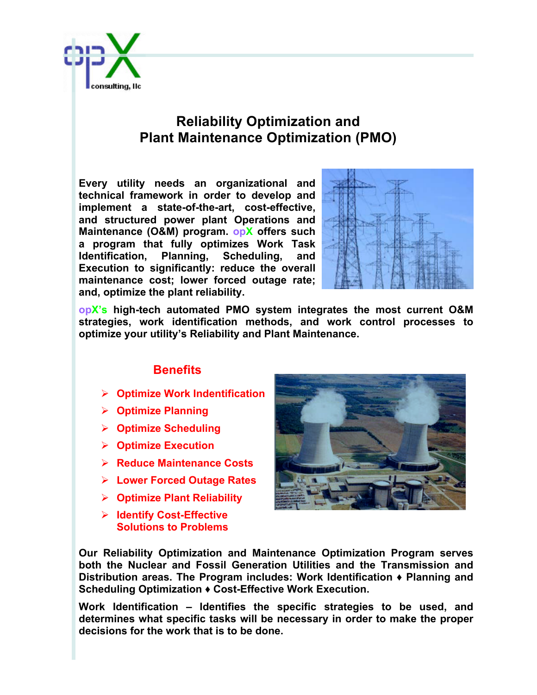

## **Reliability Optimization and Plant Maintenance Optimization (PMO)**

**Every utility needs an organizational and technical framework in order to develop and implement a state-of-the-art, cost-effective, and structured power plant Operations and Maintenance (O&M) program. opX offers such a program that fully optimizes Work Task Identification, Planning, Scheduling, and Execution to significantly: reduce the overall maintenance cost; lower forced outage rate; and, optimize the plant reliability.** 



**opX's high-tech automated PMO system integrates the most current O&M strategies, work identification methods, and work control processes to optimize your utility's Reliability and Plant Maintenance.**

## **Benefits**

- Ø **Optimize Work Indentification**
- Ø **Optimize Planning**
- Ø **Optimize Scheduling**
- Ø **Optimize Execution**
- Ø **Reduce Maintenance Costs**
- Ø **Lower Forced Outage Rates**
- Ø **Optimize Plant Reliability**
- Ø **Identify Cost-Effective Solutions to Problems**



**Our Reliability Optimization and Maintenance Optimization Program serves both the Nuclear and Fossil Generation Utilities and the Transmission and Distribution areas. The Program includes: Work Identification ♦ Planning and Scheduling Optimization ♦ Cost-Effective Work Execution.**

**Work Identification – Identifies the specific strategies to be used, and determines what specific tasks will be necessary in order to make the proper decisions for the work that is to be done.**